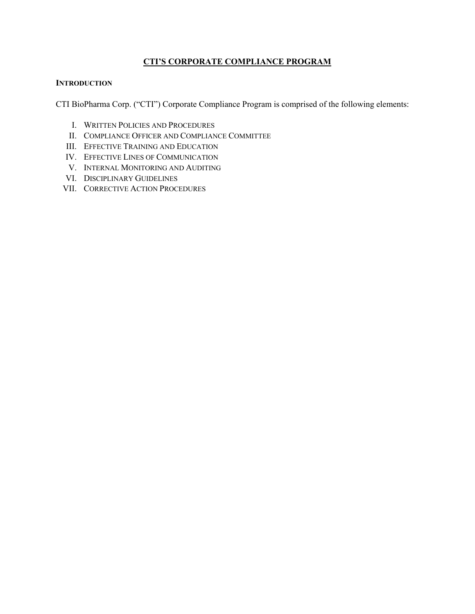## **CTI'S CORPORATE COMPLIANCE PROGRAM**

## **INTRODUCTION**

CTI BioPharma Corp. ("CTI") Corporate Compliance Program is comprised of the following elements:

- I. WRITTEN POLICIES AND PROCEDURES
- II. COMPLIANCE OFFICER AND COMPLIANCE COMMITTEE
- III. EFFECTIVE TRAINING AND EDUCATION
- IV. EFFECTIVE LINES OF COMMUNICATION
- V. INTERNAL MONITORING AND AUDITING
- VI. DISCIPLINARY GUIDELINES
- VII. CORRECTIVE ACTION PROCEDURES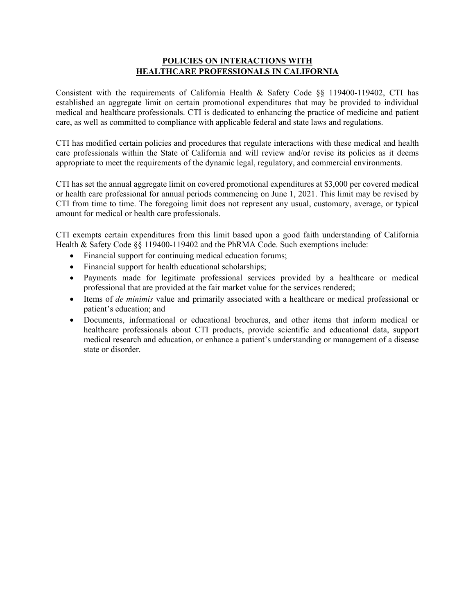## **POLICIES ON INTERACTIONS WITH HEALTHCARE PROFESSIONALS IN CALIFORNIA**

Consistent with the requirements of California Health & Safety Code §§ 119400-119402, CTI has established an aggregate limit on certain promotional expenditures that may be provided to individual medical and healthcare professionals. CTI is dedicated to enhancing the practice of medicine and patient care, as well as committed to compliance with applicable federal and state laws and regulations.

CTI has modified certain policies and procedures that regulate interactions with these medical and health care professionals within the State of California and will review and/or revise its policies as it deems appropriate to meet the requirements of the dynamic legal, regulatory, and commercial environments.

CTI has set the annual aggregate limit on covered promotional expenditures at \$3,000 per covered medical or health care professional for annual periods commencing on June 1, 2021. This limit may be revised by CTI from time to time. The foregoing limit does not represent any usual, customary, average, or typical amount for medical or health care professionals.

CTI exempts certain expenditures from this limit based upon a good faith understanding of California Health & Safety Code  $\frac{8}{8}$  119400-119402 and the PhRMA Code. Such exemptions include:

- Financial support for continuing medical education forums;
- Financial support for health educational scholarships;
- Payments made for legitimate professional services provided by a healthcare or medical professional that are provided at the fair market value for the services rendered;
- Items of *de minimis* value and primarily associated with a healthcare or medical professional or patient's education; and
- Documents, informational or educational brochures, and other items that inform medical or healthcare professionals about CTI products, provide scientific and educational data, support medical research and education, or enhance a patient's understanding or management of a disease state or disorder.